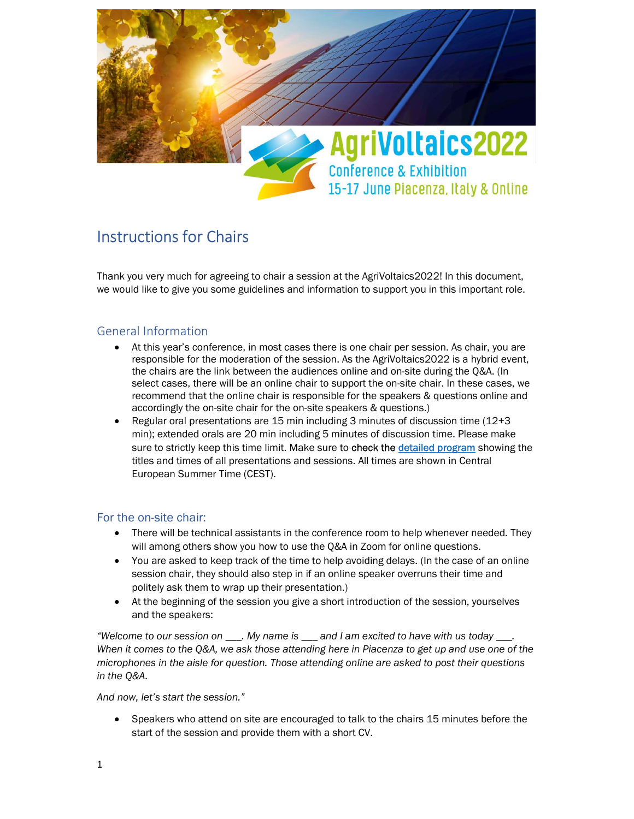

# Instructions for Chairs

Thank you very much for agreeing to chair a session at the AgriVoltaics2022! In this document, we would like to give you some guidelines and information to support you in this important role.

## General Information

- At this year's conference, in most cases there is one chair per session. As chair, you are responsible for the moderation of the session. As the AgriVoltaics2022 is a hybrid event, the chairs are the link between the audiences online and on-site during the Q&A. (In select cases, there will be an online chair to support the on-site chair. In these cases, we recommend that the online chair is responsible for the speakers & questions online and accordingly the on-site chair for the on-site speakers & questions.)
- Regular oral presentations are 15 min including 3 minutes of discussion time  $(12+3)$ min); extended orals are 20 min including 5 minutes of discussion time. Please make sure to strictly keep this time limit. Make sure to check the detailed program showing the titles and times of all presentations and sessions. All times are shown in Central European Summer Time (CEST).

## For the on-site chair:

- There will be technical assistants in the conference room to help whenever needed. They will among others show you how to use the Q&A in Zoom for online questions.
- You are asked to keep track of the time to help avoiding delays. (In the case of an online session chair, they should also step in if an online speaker overruns their time and politely ask them to wrap up their presentation.)
- At the beginning of the session you give a short introduction of the session, yourselves and the speakers:

"Welcome to our session on \_\_\_. My name is \_\_\_ and I am excited to have with us today \_\_\_. When it comes to the Q&A, we ask those attending here in Piacenza to get up and use one of the microphones in the aisle for question. Those attending online are asked to post their questions in the Q&A.

And now, let's start the session."

 Speakers who attend on site are encouraged to talk to the chairs 15 minutes before the start of the session and provide them with a short CV.